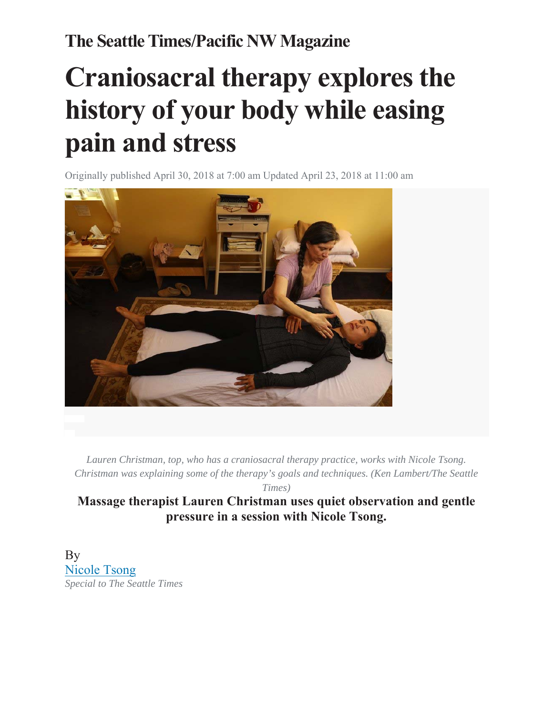## **The Seattle Times/Pacific NW Magazine**

## **Craniosacral therapy explores the history of your body while easing pain and stress**

Originally published April 30, 2018 at 7:00 am Updated April 23, 2018 at 11:00 am



*Lauren Christman, top, who has a craniosacral therapy practice, works with Nicole Tsong. Christman was explaining some of the therapy's goals and techniques. (Ken Lambert/The Seattle* 

*Times)* 

**Massage therapist Lauren Christman uses quiet observation and gentle pressure in a session with Nicole Tsong.** 

**By** Nicole Tsong *Special to The Seattle Times*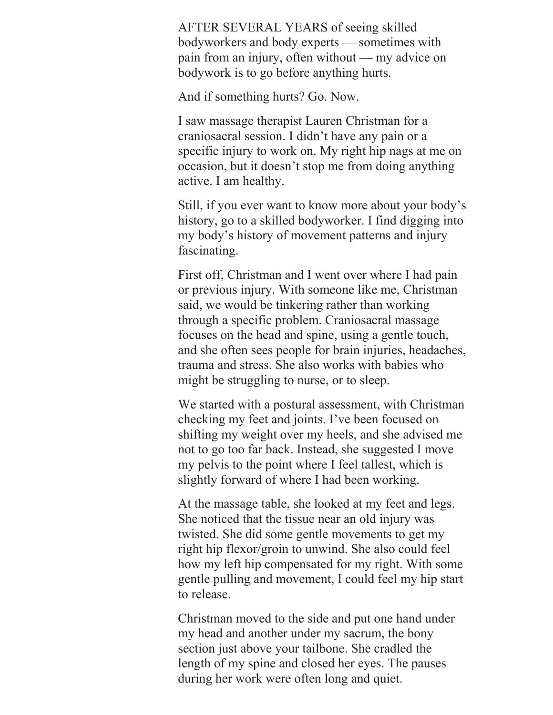AFTER SEVERAL YEARS of seeing skilled bodyworkers and body experts — sometimes with pain from an injury, often without — my advice on bodywork is to go before anything hurts.

And if something hurts? Go. Now.

I saw massage therapist Lauren Christman for a craniosacral session. I didn't have any pain or a specific injury to work on. My right hip nags at me on occasion, but it doesn't stop me from doing anything active. I am healthy.

Still, if you ever want to know more about your body's history, go to a skilled bodyworker. I find digging into my body's history of movement patterns and injury fascinating.

First off, Christman and I went over where I had pain or previous injury. With someone like me, Christman said, we would be tinkering rather than working through a specific problem. Craniosacral massage focuses on the head and spine, using a gentle touch, and she often sees people for brain injuries, headaches, trauma and stress. She also works with babies who might be struggling to nurse, or to sleep.

We started with a postural assessment, with Christman checking my feet and joints. I've been focused on shifting my weight over my heels, and she advised me not to go too far back. Instead, she suggested I move my pelvis to the point where I feel tallest, which is slightly forward of where I had been working.

At the massage table, she looked at my feet and legs. She noticed that the tissue near an old injury was twisted. She did some gentle movements to get my right hip flexor/groin to unwind. She also could feel how my left hip compensated for my right. With some gentle pulling and movement, I could feel my hip start to release.

Christman moved to the side and put one hand under my head and another under my sacrum, the bony section just above your tailbone. She cradled the length of my spine and closed her eyes. The pauses during her work were often long and quiet.